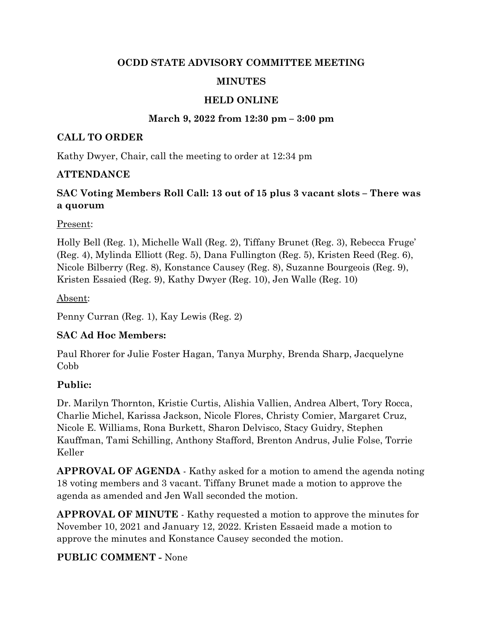#### OCDD STATE ADVISORY COMMITTEE MEETING

### MINUTES

### HELD ONLINE

### March 9, 2022 from 12:30 pm – 3:00 pm

#### CALL TO ORDER

Kathy Dwyer, Chair, call the meeting to order at 12:34 pm

### ATTENDANCE

# SAC Voting Members Roll Call: 13 out of 15 plus 3 vacant slots – There was a quorum

#### Present:

Holly Bell (Reg. 1), Michelle Wall (Reg. 2), Tiffany Brunet (Reg. 3), Rebecca Fruge' (Reg. 4), Mylinda Elliott (Reg. 5), Dana Fullington (Reg. 5), Kristen Reed (Reg. 6), Nicole Bilberry (Reg. 8), Konstance Causey (Reg. 8), Suzanne Bourgeois (Reg. 9), Kristen Essaied (Reg. 9), Kathy Dwyer (Reg. 10), Jen Walle (Reg. 10)

Absent:

Penny Curran (Reg. 1), Kay Lewis (Reg. 2)

### SAC Ad Hoc Members:

Paul Rhorer for Julie Foster Hagan, Tanya Murphy, Brenda Sharp, Jacquelyne Cobb

### Public:

Dr. Marilyn Thornton, Kristie Curtis, Alishia Vallien, Andrea Albert, Tory Rocca, Charlie Michel, Karissa Jackson, Nicole Flores, Christy Comier, Margaret Cruz, Nicole E. Williams, Rona Burkett, Sharon Delvisco, Stacy Guidry, Stephen Kauffman, Tami Schilling, Anthony Stafford, Brenton Andrus, Julie Folse, Torrie Keller

APPROVAL OF AGENDA - Kathy asked for a motion to amend the agenda noting 18 voting members and 3 vacant. Tiffany Brunet made a motion to approve the agenda as amended and Jen Wall seconded the motion.

APPROVAL OF MINUTE - Kathy requested a motion to approve the minutes for November 10, 2021 and January 12, 2022. Kristen Essaeid made a motion to approve the minutes and Konstance Causey seconded the motion.

### PUBLIC COMMENT - None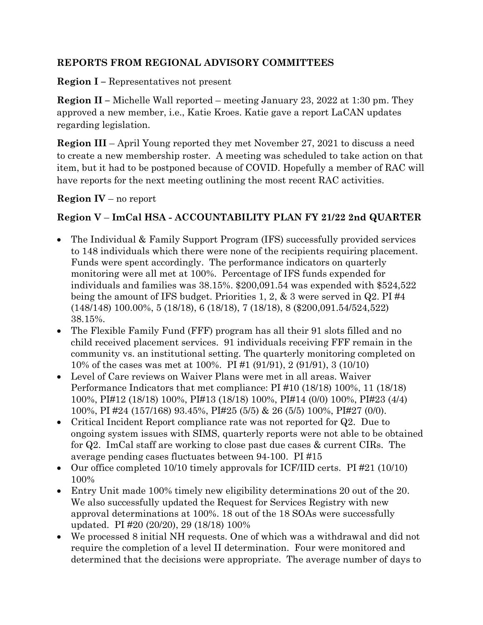### REPORTS FROM REGIONAL ADVISORY COMMITTEES

Region I – Representatives not present

Region II – Michelle Wall reported – meeting January 23, 2022 at 1:30 pm. They approved a new member, i.e., Katie Kroes. Katie gave a report LaCAN updates regarding legislation.

Region III – April Young reported they met November 27, 2021 to discuss a need to create a new membership roster. A meeting was scheduled to take action on that item, but it had to be postponed because of COVID. Hopefully a member of RAC will have reports for the next meeting outlining the most recent RAC activities.

Region IV – no report

### Region V – ImCal HSA - ACCOUNTABILITY PLAN FY 21/22 2nd QUARTER

- The Individual & Family Support Program (IFS) successfully provided services to 148 individuals which there were none of the recipients requiring placement. Funds were spent accordingly. The performance indicators on quarterly monitoring were all met at 100%. Percentage of IFS funds expended for individuals and families was 38.15%. \$200,091.54 was expended with \$524,522 being the amount of IFS budget. Priorities 1, 2, & 3 were served in Q2. PI #4 (148/148) 100.00%, 5 (18/18), 6 (18/18), 7 (18/18), 8 (\$200,091.54/524,522) 38.15%.
- The Flexible Family Fund (FFF) program has all their 91 slots filled and no child received placement services. 91 individuals receiving FFF remain in the community vs. an institutional setting. The quarterly monitoring completed on 10% of the cases was met at 100%. PI #1 (91/91), 2 (91/91), 3 (10/10)
- Level of Care reviews on Waiver Plans were met in all areas. Waiver Performance Indicators that met compliance: PI #10 (18/18) 100%, 11 (18/18) 100%, PI#12 (18/18) 100%, PI#13 (18/18) 100%, PI#14 (0/0) 100%, PI#23 (4/4) 100%, PI #24 (157/168) 93.45%, PI#25 (5/5) & 26 (5/5) 100%, PI#27 (0/0).
- Critical Incident Report compliance rate was not reported for Q2. Due to ongoing system issues with SIMS, quarterly reports were not able to be obtained for Q2. ImCal staff are working to close past due cases & current CIRs. The average pending cases fluctuates between 94-100. PI #15
- Our office completed 10/10 timely approvals for ICF/IID certs. PI #21 (10/10) 100%
- Entry Unit made 100% timely new eligibility determinations 20 out of the 20. We also successfully updated the Request for Services Registry with new approval determinations at 100%. 18 out of the 18 SOAs were successfully updated. PI #20 (20/20), 29 (18/18) 100%
- We processed 8 initial NH requests. One of which was a withdrawal and did not require the completion of a level II determination. Four were monitored and determined that the decisions were appropriate. The average number of days to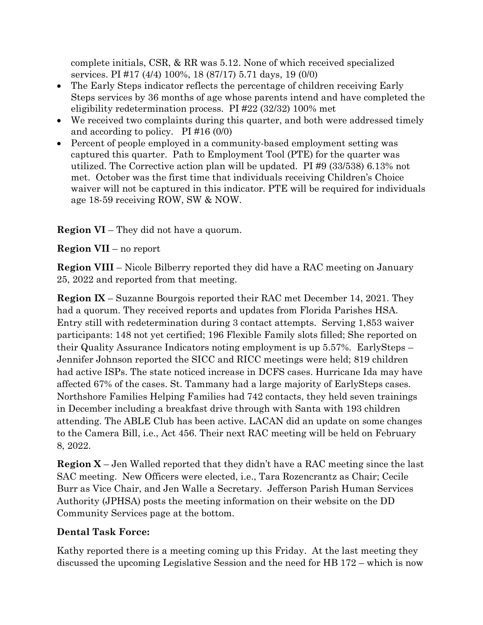complete initials, CSR, & RR was 5.12. None of which received specialized services. PI #17 (4/4) 100%, 18 (87/17) 5.71 days, 19 (0/0)

- The Early Steps indicator reflects the percentage of children receiving Early Steps services by 36 months of age whose parents intend and have completed the eligibility redetermination process. PI #22 (32/32) 100% met
- We received two complaints during this quarter, and both were addressed timely and according to policy. PI #16 (0/0)
- Percent of people employed in a community-based employment setting was captured this quarter. Path to Employment Tool (PTE) for the quarter was utilized. The Corrective action plan will be updated. PI #9 (33/538) 6.13% not met. October was the first time that individuals receiving Children's Choice waiver will not be captured in this indicator. PTE will be required for individuals age 18-59 receiving ROW, SW & NOW.

Region VI – They did not have a quorum.

# Region VII – no report

Region VIII – Nicole Bilberry reported they did have a RAC meeting on January 25, 2022 and reported from that meeting.

Region IX – Suzanne Bourgois reported their RAC met December 14, 2021. They had a quorum. They received reports and updates from Florida Parishes HSA. Entry still with redetermination during 3 contact attempts. Serving 1,853 waiver participants: 148 not yet certified; 196 Flexible Family slots filled; She reported on their Quality Assurance Indicators noting employment is up 5.57%. EarlySteps – Jennifer Johnson reported the SICC and RICC meetings were held; 819 children had active ISPs. The state noticed increase in DCFS cases. Hurricane Ida may have affected 67% of the cases. St. Tammany had a large majority of EarlySteps cases. Northshore Families Helping Families had 742 contacts, they held seven trainings in December including a breakfast drive through with Santa with 193 children attending. The ABLE Club has been active. LACAN did an update on some changes to the Camera Bill, i.e., Act 456. Their next RAC meeting will be held on February 8, 2022.

Region X – Jen Walled reported that they didn't have a RAC meeting since the last SAC meeting. New Officers were elected, i.e., Tara Rozencrantz as Chair; Cecile Burr as Vice Chair, and Jen Walle a Secretary. Jefferson Parish Human Services Authority (JPHSA) posts the meeting information on their website on the DD Community Services page at the bottom.

# Dental Task Force:

Kathy reported there is a meeting coming up this Friday. At the last meeting they discussed the upcoming Legislative Session and the need for HB 172 – which is now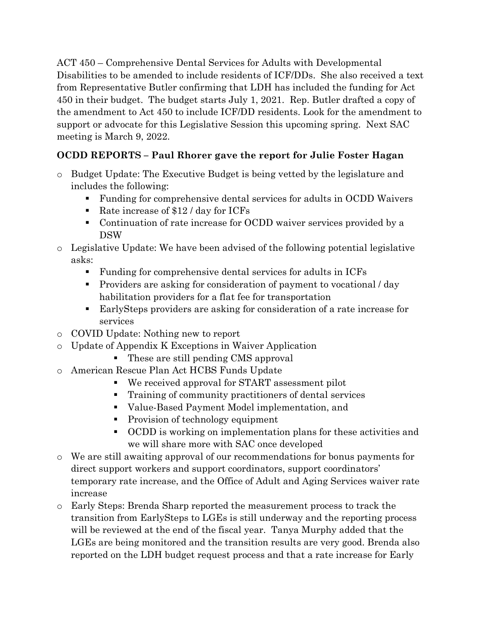ACT 450 – Comprehensive Dental Services for Adults with Developmental Disabilities to be amended to include residents of ICF/DDs. She also received a text from Representative Butler confirming that LDH has included the funding for Act 450 in their budget. The budget starts July 1, 2021. Rep. Butler drafted a copy of the amendment to Act 450 to include ICF/DD residents. Look for the amendment to support or advocate for this Legislative Session this upcoming spring. Next SAC meeting is March 9, 2022.

# OCDD REPORTS – Paul Rhorer gave the report for Julie Foster Hagan

- o Budget Update: The Executive Budget is being vetted by the legislature and includes the following:
	- Funding for comprehensive dental services for adults in OCDD Waivers
	- Rate increase of  $$12 / day$  for ICFs
	- Continuation of rate increase for OCDD waiver services provided by a DSW
- o Legislative Update: We have been advised of the following potential legislative asks:
	- Funding for comprehensive dental services for adults in ICFs
	- Providers are asking for consideration of payment to vocational / day habilitation providers for a flat fee for transportation
	- EarlySteps providers are asking for consideration of a rate increase for services
- o COVID Update: Nothing new to report
- o Update of Appendix K Exceptions in Waiver Application
	- These are still pending CMS approval
- o American Rescue Plan Act HCBS Funds Update
	- We received approval for START assessment pilot
	- **Training of community practitioners of dental services**
	- Value-Based Payment Model implementation, and
	- Provision of technology equipment
	- OCDD is working on implementation plans for these activities and we will share more with SAC once developed
- o We are still awaiting approval of our recommendations for bonus payments for direct support workers and support coordinators, support coordinators' temporary rate increase, and the Office of Adult and Aging Services waiver rate increase
- o Early Steps: Brenda Sharp reported the measurement process to track the transition from EarlySteps to LGEs is still underway and the reporting process will be reviewed at the end of the fiscal year. Tanya Murphy added that the LGEs are being monitored and the transition results are very good. Brenda also reported on the LDH budget request process and that a rate increase for Early